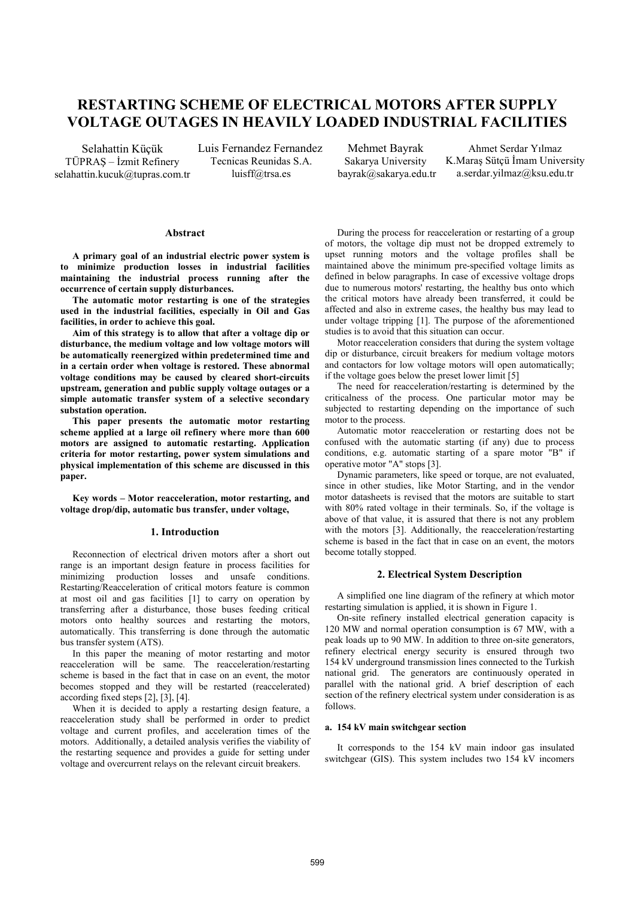# **RESTARTING SCHEME OF ELECTRICAL MOTORS AFTER SUPPLY VOLTAGE OUTAGES IN HEAVILY LOADED INDUSTRIAL FACILITIES**

Selahattin Küçük TÜPRAŞ – İzmit Refinery selahattin.kucuk@tupras.com.tr

Luis Fernandez Fernandez Tecnicas Reunidas S.A. luisff@trsa.es

Mehmet Bayrak Sakarya University bayrak@sakarya.edu.tr

Ahmet Serdar Yılmaz K.Maraş Sütçü İmam University a.serdar.yilmaz@ksu.edu.tr

## **Abstract**

**A primary goal of an industrial electric power system is to minimize production losses in industrial facilities maintaining the industrial process running after the occurrence of certain supply disturbances.** 

**The automatic motor restarting is one of the strategies used in the industrial facilities, especially in Oil and Gas facilities, in order to achieve this goal.** 

**Aim of this strategy is to allow that after a voltage dip or disturbance, the medium voltage and low voltage motors will be automatically reenergized within predetermined time and in a certain order when voltage is restored. These abnormal voltage conditions may be caused by cleared short-circuits upstream, generation and public supply voltage outages or a simple automatic transfer system of a selective secondary substation operation.** 

**This paper presents the automatic motor restarting scheme applied at a large oil refinery where more than 600 motors are assigned to automatic restarting. Application criteria for motor restarting, power system simulations and physical implementation of this scheme are discussed in this paper.** 

**Key words – Motor reacceleration, motor restarting, and voltage drop/dip, automatic bus transfer, under voltage,** 

#### **1. Introduction**

Reconnection of electrical driven motors after a short out range is an important design feature in process facilities for minimizing production losses and unsafe conditions. Restarting/Reacceleration of critical motors feature is common at most oil and gas facilities [1] to carry on operation by transferring after a disturbance, those buses feeding critical motors onto healthy sources and restarting the motors, automatically. This transferring is done through the automatic bus transfer system (ATS).

In this paper the meaning of motor restarting and motor reacceleration will be same. The reacceleration/restarting scheme is based in the fact that in case on an event, the motor becomes stopped and they will be restarted (reaccelerated) according fixed steps [2], [3], [4].

When it is decided to apply a restarting design feature, a reacceleration study shall be performed in order to predict voltage and current profiles, and acceleration times of the motors. Additionally, a detailed analysis verifies the viability of the restarting sequence and provides a guide for setting under voltage and overcurrent relays on the relevant circuit breakers.

During the process for reacceleration or restarting of a group of motors, the voltage dip must not be dropped extremely to upset running motors and the voltage profiles shall be maintained above the minimum pre-specified voltage limits as defined in below paragraphs. In case of excessive voltage drops due to numerous motors' restarting, the healthy bus onto which the critical motors have already been transferred, it could be affected and also in extreme cases, the healthy bus may lead to under voltage tripping [1]. The purpose of the aforementioned studies is to avoid that this situation can occur.

Motor reacceleration considers that during the system voltage dip or disturbance, circuit breakers for medium voltage motors and contactors for low voltage motors will open automatically; if the voltage goes below the preset lower limit [5]

The need for reacceleration/restarting is determined by the criticalness of the process. One particular motor may be subjected to restarting depending on the importance of such motor to the process.

Automatic motor reacceleration or restarting does not be confused with the automatic starting (if any) due to process conditions, e.g. automatic starting of a spare motor "B" if operative motor "A" stops [3].

Dynamic parameters, like speed or torque, are not evaluated, since in other studies, like Motor Starting, and in the vendor motor datasheets is revised that the motors are suitable to start with 80% rated voltage in their terminals. So, if the voltage is above of that value, it is assured that there is not any problem with the motors [3]. Additionally, the reacceleration/restarting scheme is based in the fact that in case on an event, the motors become totally stopped.

## **2. Electrical System Description**

A simplified one line diagram of the refinery at which motor restarting simulation is applied, it is shown in Figure 1.

On-site refinery installed electrical generation capacity is 120 MW and normal operation consumption is 67 MW, with a peak loads up to 90 MW. In addition to three on-site generators, refinery electrical energy security is ensured through two 154 kV underground transmission lines connected to the Turkish national grid. The generators are continuously operated in parallel with the national grid. A brief description of each section of the refinery electrical system under consideration is as follows.

## **a. 154 kV main switchgear section**

It corresponds to the 154 kV main indoor gas insulated switchgear (GIS). This system includes two 154 kV incomers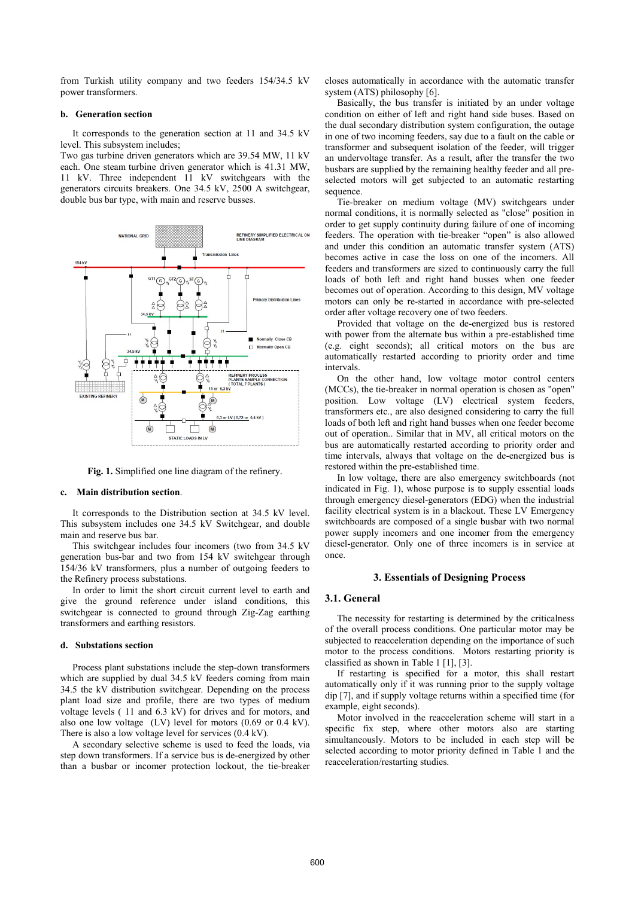from Turkish utility company and two feeders 154/34.5 kV power transformers.

## **b. Generation section**

It corresponds to the generation section at 11 and 34.5 kV level. This subsystem includes;

Two gas turbine driven generators which are 39.54 MW, 11 kV each. One steam turbine driven generator which is 41.31 MW, 11 kV. Three independent 11 kV switchgears with the generators circuits breakers. One 34.5 kV, 2500 A switchgear, double bus bar type, with main and reserve busses.



**Fig. 1.** Simplified one line diagram of the refinery.

#### **c. Main distribution section**.

It corresponds to the Distribution section at 34.5 kV level. This subsystem includes one 34.5 kV Switchgear, and double main and reserve bus bar.

This switchgear includes four incomers (two from 34.5 kV generation bus-bar and two from 154 kV switchgear through 154/36 kV transformers, plus a number of outgoing feeders to the Refinery process substations.

In order to limit the short circuit current level to earth and give the ground reference under island conditions, this switchgear is connected to ground through Zig-Zag earthing transformers and earthing resistors.

## **d. Substations section**

Process plant substations include the step-down transformers which are supplied by dual 34.5 kV feeders coming from main 34.5 the kV distribution switchgear. Depending on the process plant load size and profile, there are two types of medium voltage levels ( 11 and 6.3 kV) for drives and for motors, and also one low voltage (LV) level for motors (0.69 or 0.4 kV). There is also a low voltage level for services (0.4 kV).

A secondary selective scheme is used to feed the loads, via step down transformers. If a service bus is de-energized by other than a busbar or incomer protection lockout, the tie-breaker closes automatically in accordance with the automatic transfer system (ATS) philosophy [6].

Basically, the bus transfer is initiated by an under voltage condition on either of left and right hand side buses. Based on the dual secondary distribution system configuration, the outage in one of two incoming feeders, say due to a fault on the cable or transformer and subsequent isolation of the feeder, will trigger an undervoltage transfer. As a result, after the transfer the two busbars are supplied by the remaining healthy feeder and all preselected motors will get subjected to an automatic restarting sequence.

Tie-breaker on medium voltage (MV) switchgears under normal conditions, it is normally selected as "close" position in order to get supply continuity during failure of one of incoming feeders. The operation with tie-breaker "open" is also allowed and under this condition an automatic transfer system (ATS) becomes active in case the loss on one of the incomers. All feeders and transformers are sized to continuously carry the full loads of both left and right hand busses when one feeder becomes out of operation. According to this design, MV voltage motors can only be re-started in accordance with pre-selected order after voltage recovery one of two feeders.

Provided that voltage on the de-energized bus is restored with power from the alternate bus within a pre-established time (e.g. eight seconds); all critical motors on the bus are automatically restarted according to priority order and time intervals.

On the other hand, low voltage motor control centers (MCCs), the tie-breaker in normal operation is chosen as "open" position. Low voltage (LV) electrical system feeders, transformers etc., are also designed considering to carry the full loads of both left and right hand busses when one feeder become out of operation.. Similar that in MV, all critical motors on the bus are automatically restarted according to priority order and time intervals, always that voltage on the de-energized bus is restored within the pre-established time.

In low voltage, there are also emergency switchboards (not indicated in Fig. 1), whose purpose is to supply essential loads through emergency diesel-generators (EDG) when the industrial facility electrical system is in a blackout. These LV Emergency switchboards are composed of a single busbar with two normal power supply incomers and one incomer from the emergency diesel-generator. Only one of three incomers is in service at once.

#### **3. Essentials of Designing Process**

# **3.1. General**

The necessity for restarting is determined by the criticalness of the overall process conditions. One particular motor may be subjected to reacceleration depending on the importance of such motor to the process conditions. Motors restarting priority is classified as shown in Table 1 [1], [3].

If restarting is specified for a motor, this shall restart automatically only if it was running prior to the supply voltage dip [7], and if supply voltage returns within a specified time (for example, eight seconds).

Motor involved in the reacceleration scheme will start in a specific fix step, where other motors also are starting simultaneously. Motors to be included in each step will be selected according to motor priority defined in Table 1 and the reacceleration/restarting studies.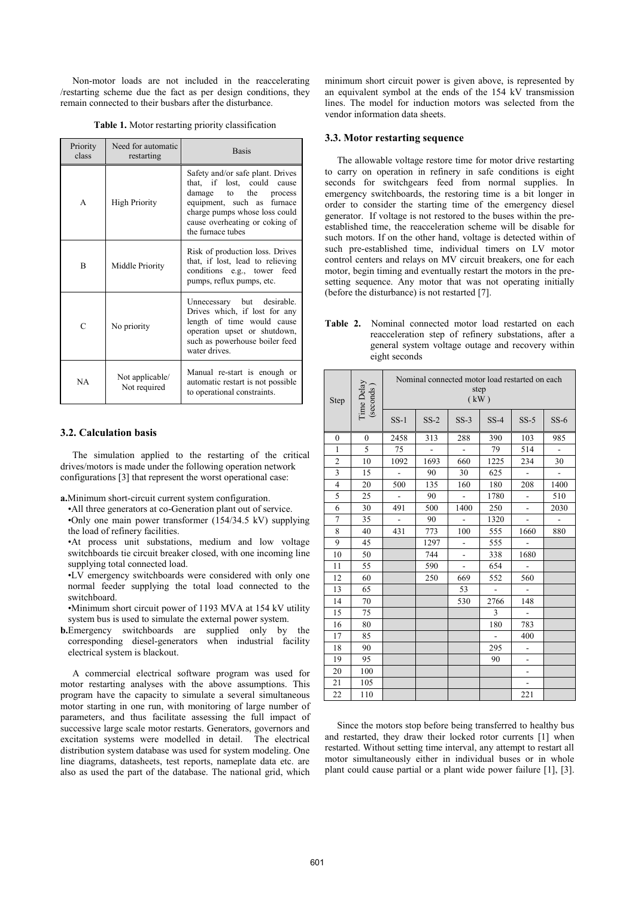Non-motor loads are not included in the reaccelerating /restarting scheme due the fact as per design conditions, they remain connected to their busbars after the disturbance.

| Priority<br>class | Need for automatic<br>restarting | <b>Basis</b>                                                                                                                                                                                                     |  |  |
|-------------------|----------------------------------|------------------------------------------------------------------------------------------------------------------------------------------------------------------------------------------------------------------|--|--|
| A                 | <b>High Priority</b>             | Safety and/or safe plant. Drives<br>that, if lost, could<br>cause<br>damage to the process<br>equipment, such as furnace<br>charge pumps whose loss could<br>cause overheating or coking of<br>the furnace tubes |  |  |
| R                 | Middle Priority                  | Risk of production loss. Drives<br>that, if lost, lead to relieving<br>conditions e.g., tower feed<br>pumps, reflux pumps, etc.                                                                                  |  |  |
| C                 | No priority                      | Unnecessary but desirable.<br>Drives which, if lost for any<br>length of time would cause<br>operation upset or shutdown,<br>such as powerhouse boiler feed<br>water drives.                                     |  |  |
| NA                | Not applicable/<br>Not required  | Manual re-start is enough or<br>automatic restart is not possible<br>to operational constraints.                                                                                                                 |  |  |

#### **3.2. Calculation basis**

The simulation applied to the restarting of the critical drives/motors is made under the following operation network configurations [3] that represent the worst operational case:

**a.**Minimum short-circuit current system configuration.

•All three generators at co-Generation plant out of service. •Only one main power transformer  $(154/34.5 \text{ kV})$  supplying the load of refinery facilities.

•At process unit substations, medium and low voltage switchboards tie circuit breaker closed, with one incoming line supplying total connected load.

•LV emergency switchboards were considered with only one normal feeder supplying the total load connected to the switchboard.

•Minimum short circuit power of 1193 MVA at 154 kV utility system bus is used to simulate the external power system.

**b.**Emergency switchboards are supplied only by the corresponding diesel-generators when industrial facility electrical system is blackout.

A commercial electrical software program was used for motor restarting analyses with the above assumptions. This program have the capacity to simulate a several simultaneous motor starting in one run, with monitoring of large number of parameters, and thus facilitate assessing the full impact of successive large scale motor restarts. Generators, governors and excitation systems were modelled in detail. The electrical distribution system database was used for system modeling. One line diagrams, datasheets, test reports, nameplate data etc. are also as used the part of the database. The national grid, which

minimum short circuit power is given above, is represented by an equivalent symbol at the ends of the 154 kV transmission lines. The model for induction motors was selected from the vendor information data sheets.

## **3.3. Motor restarting sequence**

The allowable voltage restore time for motor drive restarting to carry on operation in refinery in safe conditions is eight seconds for switchgears feed from normal supplies. In emergency switchboards, the restoring time is a bit longer in order to consider the starting time of the emergency diesel generator. If voltage is not restored to the buses within the preestablished time, the reacceleration scheme will be disable for such motors. If on the other hand, voltage is detected within of such pre-established time, individual timers on LV motor control centers and relays on MV circuit breakers, one for each motor, begin timing and eventually restart the motors in the presetting sequence. Any motor that was not operating initially (before the disturbance) is not restarted [7].

| <b>Table 2.</b> Nominal connected motor load restarted on each     |
|--------------------------------------------------------------------|
| reacceleration step of refinery substations, after a               |
| general system voltage outage and recovery within<br>eight seconds |

| Time Delay<br>(seconds)<br>Step |              | Nominal connected motor load restarted on each<br>step<br>(kW) |                |                |                          |                          |                |
|---------------------------------|--------------|----------------------------------------------------------------|----------------|----------------|--------------------------|--------------------------|----------------|
|                                 |              | $SS-1$                                                         | $SS-2$         | $SS-3$         | $SS-4$                   | $SS-5$                   | $SS-6$         |
| $\mathbf{0}$                    | $\mathbf{0}$ | 2458                                                           | 313            | 288            | 390                      | 103                      | 985            |
| $\mathbf{1}$                    | 5            | 75                                                             | $\overline{a}$ | ÷,             | 79                       | 514                      | $\overline{a}$ |
| $\overline{\mathbf{c}}$         | 10           | 1092                                                           | 1693           | 660            | 1225                     | 234                      | 30             |
| 3                               | 15           | $\blacksquare$                                                 | 90             | 30             | 625                      | $\overline{a}$           | $\overline{a}$ |
| $\overline{4}$                  | 20           | 500                                                            | 135            | 160            | 180                      | 208                      | 1400           |
| 5                               | 25           | ÷.                                                             | 90             |                | 1780                     | $\frac{1}{2}$            | 510            |
| 6                               | 30           | 491                                                            | 500            | 1400           | 250                      | ÷,                       | 2030           |
| $\overline{7}$                  | 35           | $\overline{a}$                                                 | 90             |                | 1320                     | $\frac{1}{2}$            | $\overline{a}$ |
| 8                               | 40           | 431                                                            | 773            | 100            | 555                      | 1660                     | 880            |
| 9                               | 45           |                                                                | 1297           | $\overline{a}$ | 555                      | $\overline{a}$           |                |
| 10                              | 50           |                                                                | 744            | ÷,             | 338                      | 1680                     |                |
| 11                              | 55           |                                                                | 590            | $\overline{a}$ | 654                      | $\overline{a}$           |                |
| 12                              | 60           |                                                                | 250            | 669            | 552                      | 560                      |                |
| 13                              | 65           |                                                                |                | 53             | $\overline{\phantom{a}}$ |                          |                |
| 14                              | 70           |                                                                |                | 530            | 2766                     | 148                      |                |
| 15                              | 75           |                                                                |                |                | 3                        | $\blacksquare$           |                |
| 16                              | 80           |                                                                |                |                | 180                      | 783                      |                |
| 17                              | 85           |                                                                |                |                |                          | 400                      |                |
| 18                              | 90           |                                                                |                |                | 295                      | $\overline{\phantom{a}}$ |                |
| 19                              | 95           |                                                                |                |                | 90                       | ÷,                       |                |
| 20                              | 100          |                                                                |                |                |                          | $\overline{\phantom{0}}$ |                |
| 21                              | 105          |                                                                |                |                |                          | ÷.                       |                |
| 22                              | 110          |                                                                |                |                |                          | 221                      |                |

Since the motors stop before being transferred to healthy bus and restarted, they draw their locked rotor currents [1] when restarted. Without setting time interval, any attempt to restart all motor simultaneously either in individual buses or in whole plant could cause partial or a plant wide power failure [1], [3].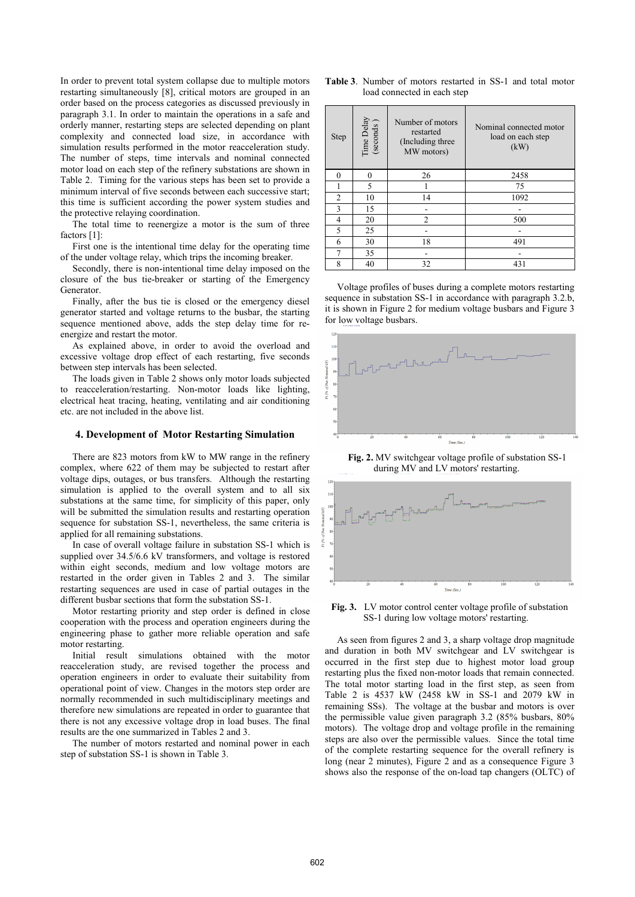In order to prevent total system collapse due to multiple motors restarting simultaneously [8], critical motors are grouped in an order based on the process categories as discussed previously in paragraph 3.1. In order to maintain the operations in a safe and orderly manner, restarting steps are selected depending on plant complexity and connected load size, in accordance with simulation results performed in the motor reacceleration study. The number of steps, time intervals and nominal connected motor load on each step of the refinery substations are shown in Table 2. Timing for the various steps has been set to provide a minimum interval of five seconds between each successive start; this time is sufficient according the power system studies and the protective relaying coordination.

The total time to reenergize a motor is the sum of three factors [1]:

First one is the intentional time delay for the operating time of the under voltage relay, which trips the incoming breaker.

Secondly, there is non-intentional time delay imposed on the closure of the bus tie-breaker or starting of the Emergency Generator.

Finally, after the bus tie is closed or the emergency diesel generator started and voltage returns to the busbar, the starting sequence mentioned above, adds the step delay time for reenergize and restart the motor.

As explained above, in order to avoid the overload and excessive voltage drop effect of each restarting, five seconds between step intervals has been selected.

The loads given in Table 2 shows only motor loads subjected to reacceleration/restarting. Non-motor loads like lighting, electrical heat tracing, heating, ventilating and air conditioning etc. are not included in the above list.

#### **4. Development of Motor Restarting Simulation**

There are 823 motors from kW to MW range in the refinery complex, where 622 of them may be subjected to restart after voltage dips, outages, or bus transfers. Although the restarting simulation is applied to the overall system and to all six substations at the same time, for simplicity of this paper, only will be submitted the simulation results and restarting operation sequence for substation SS-1, nevertheless, the same criteria is applied for all remaining substations.

In case of overall voltage failure in substation SS-1 which is supplied over 34.5/6.6 kV transformers, and voltage is restored within eight seconds, medium and low voltage motors are restarted in the order given in Tables 2 and 3. The similar restarting sequences are used in case of partial outages in the different busbar sections that form the substation SS-1.

Motor restarting priority and step order is defined in close cooperation with the process and operation engineers during the engineering phase to gather more reliable operation and safe motor restarting.

Initial result simulations obtained with the motor reacceleration study, are revised together the process and operation engineers in order to evaluate their suitability from operational point of view. Changes in the motors step order are normally recommended in such multidisciplinary meetings and therefore new simulations are repeated in order to guarantee that there is not any excessive voltage drop in load buses. The final results are the one summarized in Tables 2 and 3.

The number of motors restarted and nominal power in each step of substation SS-1 is shown in Table 3.

|                             |  |  | <b>Table 3.</b> Number of motors restarted in SS-1 and total motor |  |  |  |
|-----------------------------|--|--|--------------------------------------------------------------------|--|--|--|
| load connected in each step |  |  |                                                                    |  |  |  |

| Step           | Time Delay<br>(seconds ) | Number of motors<br>restarted<br>(Including three)<br>MW motors) | Nominal connected motor<br>load on each step<br>(kW) |  |  |  |
|----------------|--------------------------|------------------------------------------------------------------|------------------------------------------------------|--|--|--|
| $\theta$       | 0                        | 26                                                               | 2458                                                 |  |  |  |
|                | 5                        |                                                                  | 75                                                   |  |  |  |
| $\overline{2}$ | 10                       | 14                                                               | 1092                                                 |  |  |  |
| 3              | 15                       |                                                                  |                                                      |  |  |  |
| 4              | 20                       | $\overline{2}$                                                   | 500                                                  |  |  |  |
| 5              | 25                       |                                                                  |                                                      |  |  |  |
| 6              | 30                       | 18                                                               | 491                                                  |  |  |  |
| 7              | 35                       |                                                                  |                                                      |  |  |  |
| 8              | 40                       | 32                                                               | 431                                                  |  |  |  |

Voltage profiles of buses during a complete motors restarting sequence in substation SS-1 in accordance with paragraph 3.2.b, it is shown in Figure 2 for medium voltage busbars and Figure 3 for low voltage busbars.



**Fig. 2.** MV switchgear voltage profile of substation SS-1 during MV and LV motors' restarting.



**Fig. 3.** LV motor control center voltage profile of substation SS-1 during low voltage motors' restarting.

As seen from figures 2 and 3, a sharp voltage drop magnitude and duration in both MV switchgear and LV switchgear is occurred in the first step due to highest motor load group restarting plus the fixed non-motor loads that remain connected. The total motor starting load in the first step, as seen from Table 2 is 4537 kW (2458 kW in SS-1 and 2079 kW in remaining SSs). The voltage at the busbar and motors is over the permissible value given paragraph 3.2 (85% busbars, 80% motors). The voltage drop and voltage profile in the remaining steps are also over the permissible values. Since the total time of the complete restarting sequence for the overall refinery is long (near 2 minutes), Figure 2 and as a consequence Figure 3 shows also the response of the on-load tap changers (OLTC) of